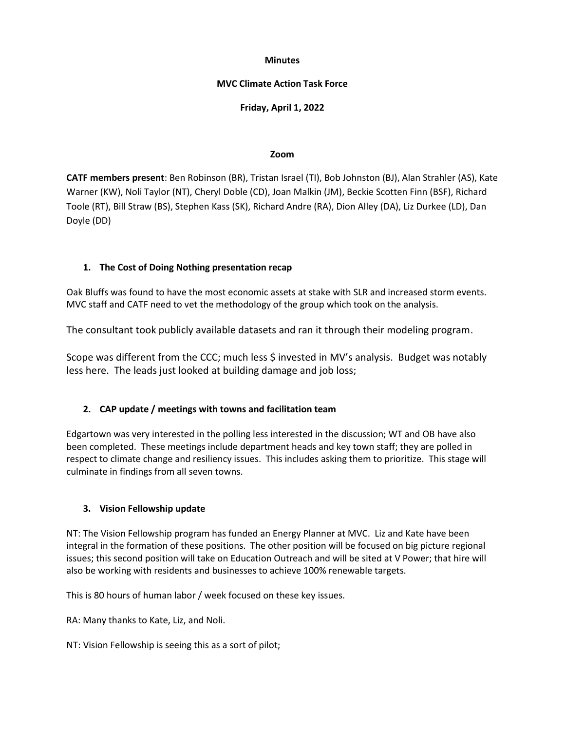### **Minutes**

## **MVC Climate Action Task Force**

## **Friday, April 1, 2022**

#### **Zoom**

**CATF members present**: Ben Robinson (BR), Tristan Israel (TI), Bob Johnston (BJ), Alan Strahler (AS), Kate Warner (KW), Noli Taylor (NT), Cheryl Doble (CD), Joan Malkin (JM), Beckie Scotten Finn (BSF), Richard Toole (RT), Bill Straw (BS), Stephen Kass (SK), Richard Andre (RA), Dion Alley (DA), Liz Durkee (LD), Dan Doyle (DD)

## **1. The Cost of Doing Nothing presentation recap**

Oak Bluffs was found to have the most economic assets at stake with SLR and increased storm events. MVC staff and CATF need to vet the methodology of the group which took on the analysis.

The consultant took publicly available datasets and ran it through their modeling program.

Scope was different from the CCC; much less \$ invested in MV's analysis. Budget was notably less here. The leads just looked at building damage and job loss;

## **2. CAP update / meetings with towns and facilitation team**

Edgartown was very interested in the polling less interested in the discussion; WT and OB have also been completed. These meetings include department heads and key town staff; they are polled in respect to climate change and resiliency issues. This includes asking them to prioritize. This stage will culminate in findings from all seven towns.

## **3. Vision Fellowship update**

NT: The Vision Fellowship program has funded an Energy Planner at MVC. Liz and Kate have been integral in the formation of these positions. The other position will be focused on big picture regional issues; this second position will take on Education Outreach and will be sited at V Power; that hire will also be working with residents and businesses to achieve 100% renewable targets.

This is 80 hours of human labor / week focused on these key issues.

RA: Many thanks to Kate, Liz, and Noli.

NT: Vision Fellowship is seeing this as a sort of pilot;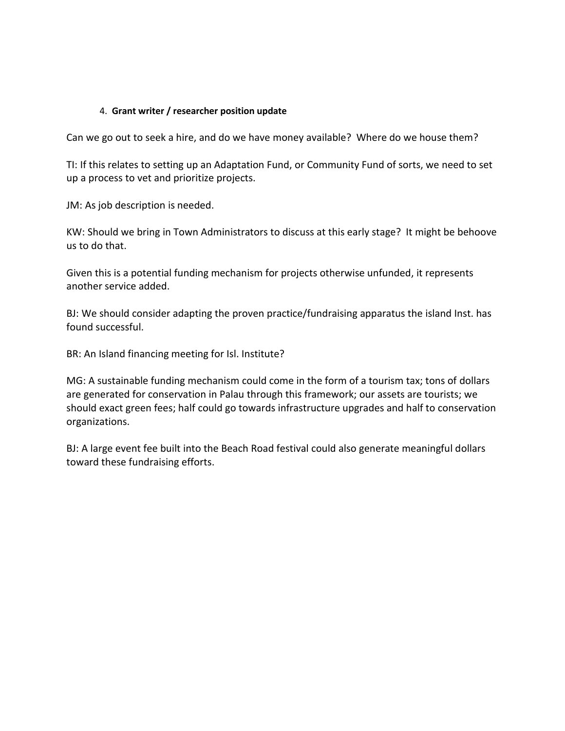# 4. **Grant writer / researcher position update**

Can we go out to seek a hire, and do we have money available? Where do we house them?

TI: If this relates to setting up an Adaptation Fund, or Community Fund of sorts, we need to set up a process to vet and prioritize projects.

JM: As job description is needed.

KW: Should we bring in Town Administrators to discuss at this early stage? It might be behoove us to do that.

Given this is a potential funding mechanism for projects otherwise unfunded, it represents another service added.

BJ: We should consider adapting the proven practice/fundraising apparatus the island Inst. has found successful.

BR: An Island financing meeting for Isl. Institute?

MG: A sustainable funding mechanism could come in the form of a tourism tax; tons of dollars are generated for conservation in Palau through this framework; our assets are tourists; we should exact green fees; half could go towards infrastructure upgrades and half to conservation organizations.

BJ: A large event fee built into the Beach Road festival could also generate meaningful dollars toward these fundraising efforts.